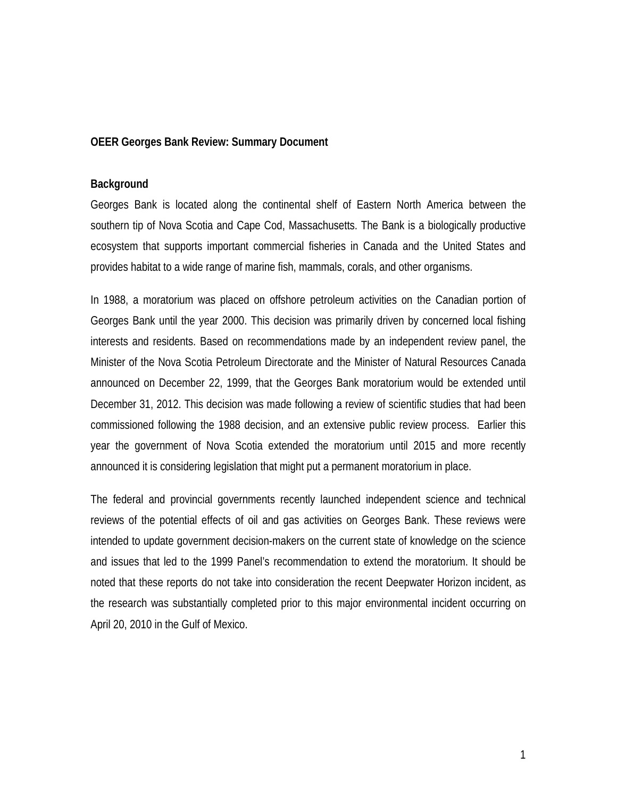### **OEER Georges Bank Review: Summary Document**

#### **Background**

Georges Bank is located along the continental shelf of Eastern North America between the southern tip of Nova Scotia and Cape Cod, Massachusetts. The Bank is a biologically productive ecosystem that supports important commercial fisheries in Canada and the United States and provides habitat to a wide range of marine fish, mammals, corals, and other organisms.

In 1988, a moratorium was placed on offshore petroleum activities on the Canadian portion of Georges Bank until the year 2000. This decision was primarily driven by concerned local fishing interests and residents. Based on recommendations made by an independent review panel, the Minister of the Nova Scotia Petroleum Directorate and the Minister of Natural Resources Canada announced on December 22, 1999, that the Georges Bank moratorium would be extended until December 31, 2012. This decision was made following a review of scientific studies that had been commissioned following the 1988 decision, and an extensive public review process. Earlier this year the government of Nova Scotia extended the moratorium until 2015 and more recently announced it is considering legislation that might put a permanent moratorium in place.

The federal and provincial governments recently launched independent science and technical reviews of the potential effects of oil and gas activities on Georges Bank. These reviews were intended to update government decision-makers on the current state of knowledge on the science and issues that led to the 1999 Panel's recommendation to extend the moratorium. It should be noted that these reports do not take into consideration the recent Deepwater Horizon incident, as the research was substantially completed prior to this major environmental incident occurring on April 20, 2010 in the Gulf of Mexico.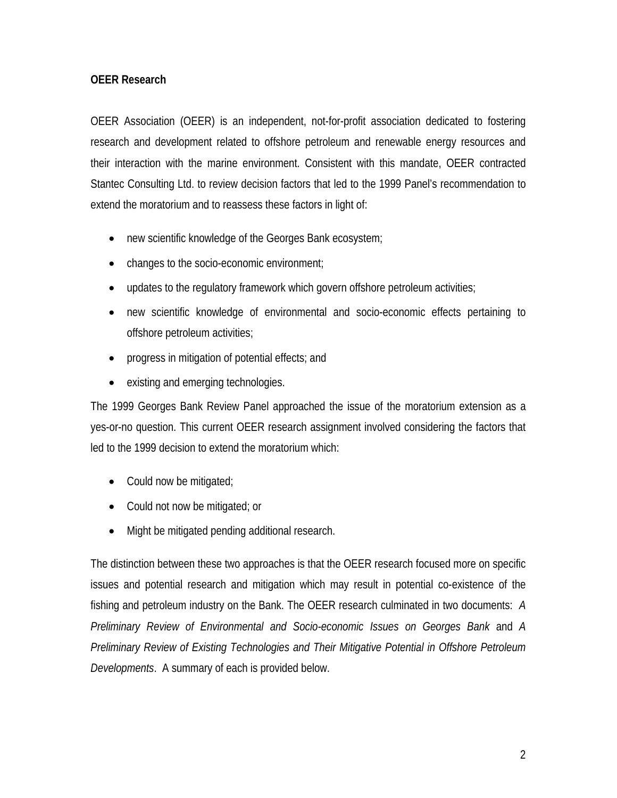## **OEER Research**

OEER Association (OEER) is an independent, not-for-profit association dedicated to fostering research and development related to offshore petroleum and renewable energy resources and their interaction with the marine environment. Consistent with this mandate, OEER contracted Stantec Consulting Ltd. to review decision factors that led to the 1999 Panel's recommendation to extend the moratorium and to reassess these factors in light of:

- new scientific knowledge of the Georges Bank ecosystem;
- changes to the socio-economic environment;
- updates to the regulatory framework which govern offshore petroleum activities;
- new scientific knowledge of environmental and socio-economic effects pertaining to offshore petroleum activities;
- progress in mitigation of potential effects; and
- existing and emerging technologies.

The 1999 Georges Bank Review Panel approached the issue of the moratorium extension as a yes-or-no question. This current OEER research assignment involved considering the factors that led to the 1999 decision to extend the moratorium which:

- Could now be mitigated;
- Could not now be mitigated; or
- Might be mitigated pending additional research.

The distinction between these two approaches is that the OEER research focused more on specific issues and potential research and mitigation which may result in potential co-existence of the fishing and petroleum industry on the Bank. The OEER research culminated in two documents: *A Preliminary Review of Environmental and Socio-economic Issues on Georges Bank* and *A Preliminary Review of Existing Technologies and Their Mitigative Potential in Offshore Petroleum Developments*. A summary of each is provided below.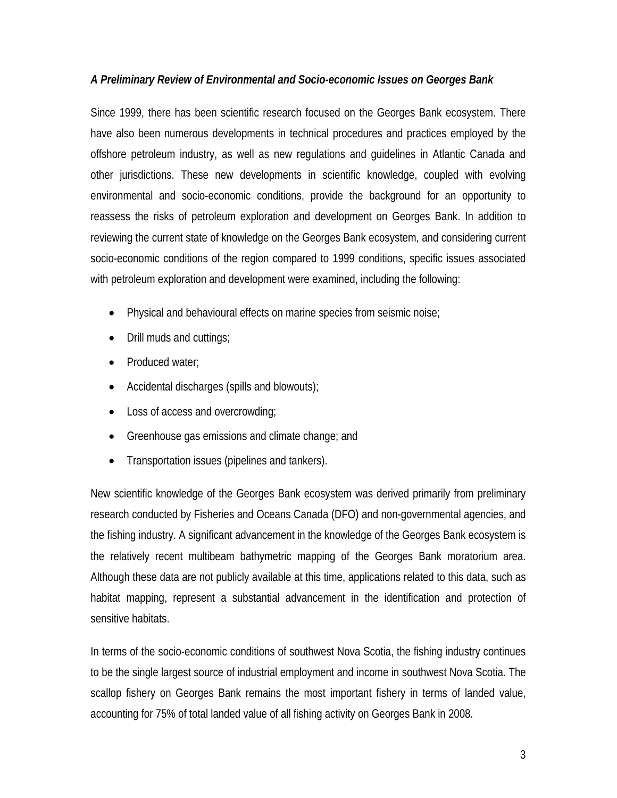## *A Preliminary Review of Environmental and Socio-economic Issues on Georges Bank*

Since 1999, there has been scientific research focused on the Georges Bank ecosystem. There have also been numerous developments in technical procedures and practices employed by the offshore petroleum industry, as well as new regulations and guidelines in Atlantic Canada and other jurisdictions. These new developments in scientific knowledge, coupled with evolving environmental and socio-economic conditions, provide the background for an opportunity to reassess the risks of petroleum exploration and development on Georges Bank. In addition to reviewing the current state of knowledge on the Georges Bank ecosystem, and considering current socio-economic conditions of the region compared to 1999 conditions, specific issues associated with petroleum exploration and development were examined, including the following:

- Physical and behavioural effects on marine species from seismic noise;
- Drill muds and cuttings;
- Produced water;
- Accidental discharges (spills and blowouts);
- Loss of access and overcrowding;
- Greenhouse gas emissions and climate change; and
- Transportation issues (pipelines and tankers).

New scientific knowledge of the Georges Bank ecosystem was derived primarily from preliminary research conducted by Fisheries and Oceans Canada (DFO) and non-governmental agencies, and the fishing industry. A significant advancement in the knowledge of the Georges Bank ecosystem is the relatively recent multibeam bathymetric mapping of the Georges Bank moratorium area. Although these data are not publicly available at this time, applications related to this data, such as habitat mapping, represent a substantial advancement in the identification and protection of sensitive habitats.

In terms of the socio-economic conditions of southwest Nova Scotia, the fishing industry continues to be the single largest source of industrial employment and income in southwest Nova Scotia. The scallop fishery on Georges Bank remains the most important fishery in terms of landed value, accounting for 75% of total landed value of all fishing activity on Georges Bank in 2008.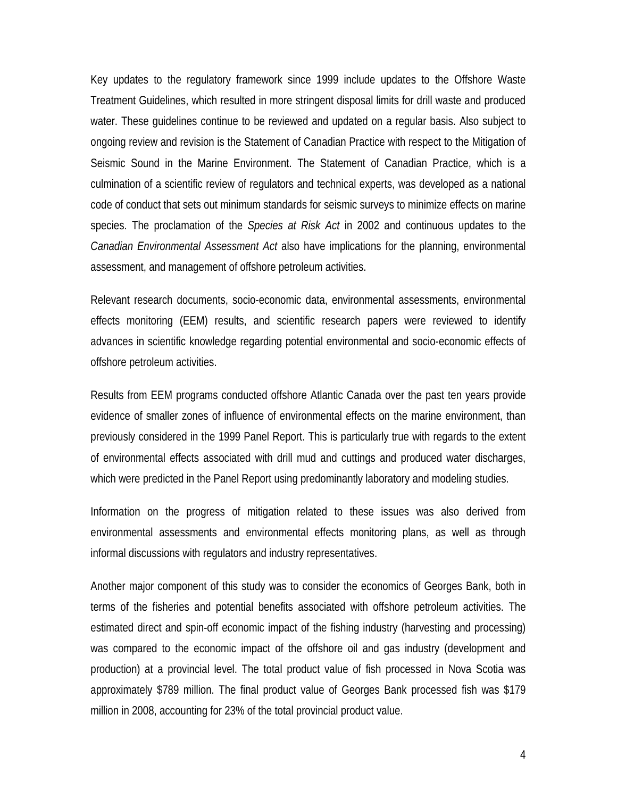Key updates to the regulatory framework since 1999 include updates to the Offshore Waste Treatment Guidelines, which resulted in more stringent disposal limits for drill waste and produced water. These guidelines continue to be reviewed and updated on a regular basis. Also subject to ongoing review and revision is the Statement of Canadian Practice with respect to the Mitigation of Seismic Sound in the Marine Environment. The Statement of Canadian Practice, which is a culmination of a scientific review of regulators and technical experts, was developed as a national code of conduct that sets out minimum standards for seismic surveys to minimize effects on marine species. The proclamation of the *Species at Risk Act* in 2002 and continuous updates to the *Canadian Environmental Assessment Act* also have implications for the planning, environmental assessment, and management of offshore petroleum activities.

Relevant research documents, socio-economic data, environmental assessments, environmental effects monitoring (EEM) results, and scientific research papers were reviewed to identify advances in scientific knowledge regarding potential environmental and socio-economic effects of offshore petroleum activities.

Results from EEM programs conducted offshore Atlantic Canada over the past ten years provide evidence of smaller zones of influence of environmental effects on the marine environment, than previously considered in the 1999 Panel Report. This is particularly true with regards to the extent of environmental effects associated with drill mud and cuttings and produced water discharges, which were predicted in the Panel Report using predominantly laboratory and modeling studies.

Information on the progress of mitigation related to these issues was also derived from environmental assessments and environmental effects monitoring plans, as well as through informal discussions with regulators and industry representatives.

Another major component of this study was to consider the economics of Georges Bank, both in terms of the fisheries and potential benefits associated with offshore petroleum activities. The estimated direct and spin-off economic impact of the fishing industry (harvesting and processing) was compared to the economic impact of the offshore oil and gas industry (development and production) at a provincial level. The total product value of fish processed in Nova Scotia was approximately \$789 million. The final product value of Georges Bank processed fish was \$179 million in 2008, accounting for 23% of the total provincial product value.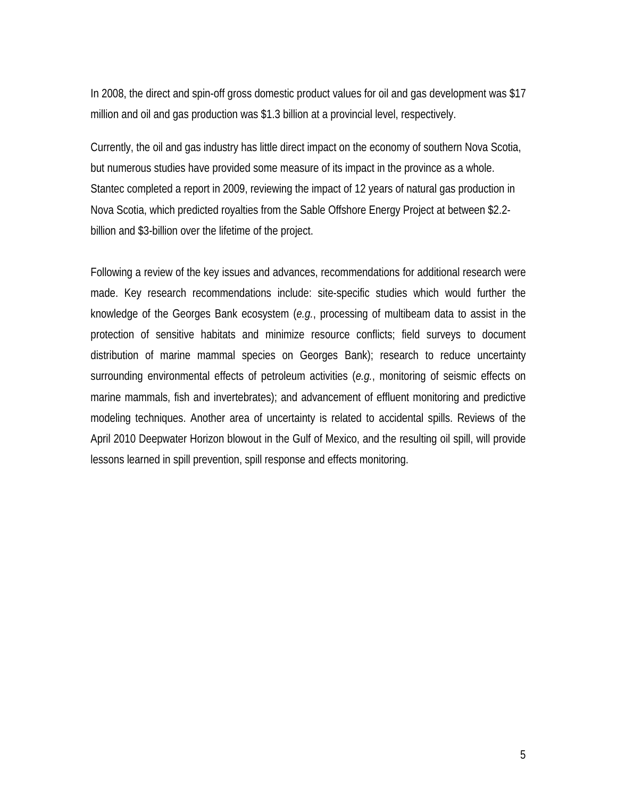In 2008, the direct and spin-off gross domestic product values for oil and gas development was \$17 million and oil and gas production was \$1.3 billion at a provincial level, respectively.

Currently, the oil and gas industry has little direct impact on the economy of southern Nova Scotia, but numerous studies have provided some measure of its impact in the province as a whole. Stantec completed a report in 2009, reviewing the impact of 12 years of natural gas production in Nova Scotia, which predicted royalties from the Sable Offshore Energy Project at between \$2.2 billion and \$3-billion over the lifetime of the project.

Following a review of the key issues and advances, recommendations for additional research were made. Key research recommendations include: site-specific studies which would further the knowledge of the Georges Bank ecosystem (*e.g.*, processing of multibeam data to assist in the protection of sensitive habitats and minimize resource conflicts; field surveys to document distribution of marine mammal species on Georges Bank); research to reduce uncertainty surrounding environmental effects of petroleum activities (*e.g.*, monitoring of seismic effects on marine mammals, fish and invertebrates); and advancement of effluent monitoring and predictive modeling techniques. Another area of uncertainty is related to accidental spills. Reviews of the April 2010 Deepwater Horizon blowout in the Gulf of Mexico, and the resulting oil spill, will provide lessons learned in spill prevention, spill response and effects monitoring.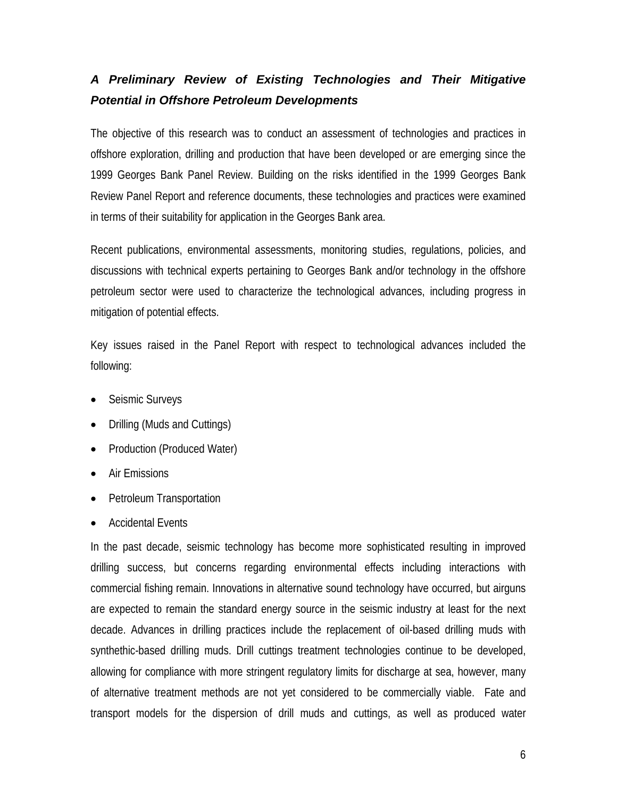# *A Preliminary Review of Existing Technologies and Their Mitigative Potential in Offshore Petroleum Developments*

The objective of this research was to conduct an assessment of technologies and practices in offshore exploration, drilling and production that have been developed or are emerging since the 1999 Georges Bank Panel Review. Building on the risks identified in the 1999 Georges Bank Review Panel Report and reference documents, these technologies and practices were examined in terms of their suitability for application in the Georges Bank area.

Recent publications, environmental assessments, monitoring studies, regulations, policies, and discussions with technical experts pertaining to Georges Bank and/or technology in the offshore petroleum sector were used to characterize the technological advances, including progress in mitigation of potential effects.

Key issues raised in the Panel Report with respect to technological advances included the following:

- Seismic Surveys
- Drilling (Muds and Cuttings)
- Production (Produced Water)
- Air Emissions
- Petroleum Transportation
- Accidental Events

In the past decade, seismic technology has become more sophisticated resulting in improved drilling success, but concerns regarding environmental effects including interactions with commercial fishing remain. Innovations in alternative sound technology have occurred, but airguns are expected to remain the standard energy source in the seismic industry at least for the next decade. Advances in drilling practices include the replacement of oil-based drilling muds with synthethic-based drilling muds. Drill cuttings treatment technologies continue to be developed, allowing for compliance with more stringent regulatory limits for discharge at sea, however, many of alternative treatment methods are not yet considered to be commercially viable. Fate and transport models for the dispersion of drill muds and cuttings, as well as produced water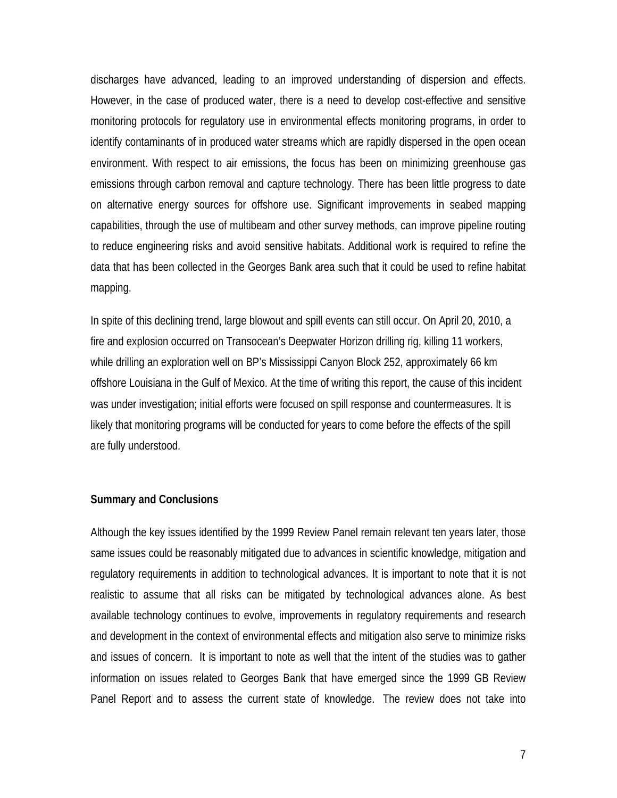discharges have advanced, leading to an improved understanding of dispersion and effects. However, in the case of produced water, there is a need to develop cost-effective and sensitive monitoring protocols for regulatory use in environmental effects monitoring programs, in order to identify contaminants of in produced water streams which are rapidly dispersed in the open ocean environment. With respect to air emissions, the focus has been on minimizing greenhouse gas emissions through carbon removal and capture technology. There has been little progress to date on alternative energy sources for offshore use. Significant improvements in seabed mapping capabilities, through the use of multibeam and other survey methods, can improve pipeline routing to reduce engineering risks and avoid sensitive habitats. Additional work is required to refine the data that has been collected in the Georges Bank area such that it could be used to refine habitat mapping.

In spite of this declining trend, large blowout and spill events can still occur. On April 20, 2010, a fire and explosion occurred on Transocean's Deepwater Horizon drilling rig, killing 11 workers, while drilling an exploration well on BP's Mississippi Canyon Block 252, approximately 66 km offshore Louisiana in the Gulf of Mexico. At the time of writing this report, the cause of this incident was under investigation; initial efforts were focused on spill response and countermeasures. It is likely that monitoring programs will be conducted for years to come before the effects of the spill are fully understood.

#### **Summary and Conclusions**

Although the key issues identified by the 1999 Review Panel remain relevant ten years later, those same issues could be reasonably mitigated due to advances in scientific knowledge, mitigation and regulatory requirements in addition to technological advances. It is important to note that it is not realistic to assume that all risks can be mitigated by technological advances alone. As best available technology continues to evolve, improvements in regulatory requirements and research and development in the context of environmental effects and mitigation also serve to minimize risks and issues of concern. It is important to note as well that the intent of the studies was to gather information on issues related to Georges Bank that have emerged since the 1999 GB Review Panel Report and to assess the current state of knowledge. The review does not take into